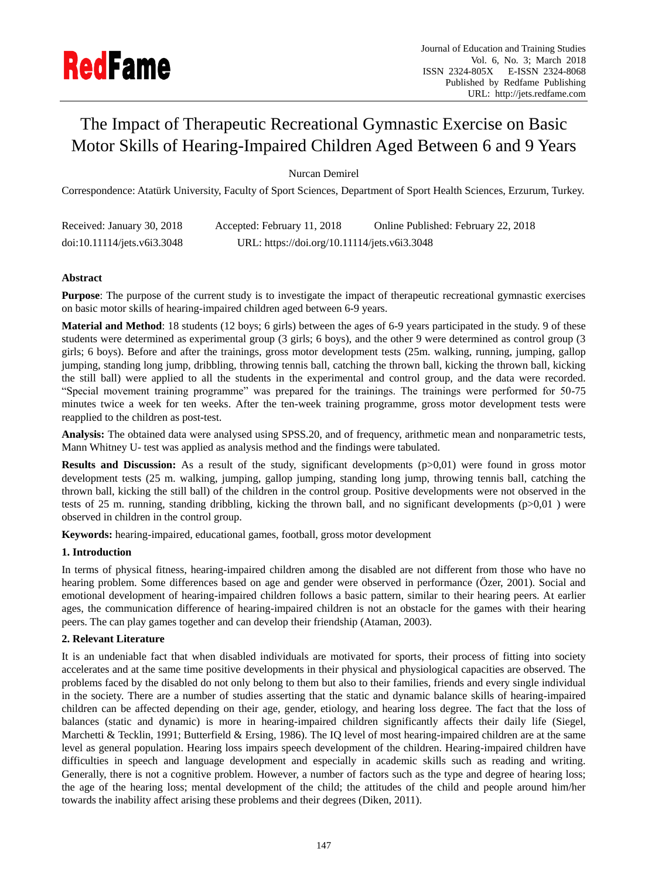# The Impact of Therapeutic Recreational Gymnastic Exercise on Basic Motor Skills of Hearing-Impaired Children Aged Between 6 and 9 Years

Nurcan Demirel

Correspondence: Atatürk University, Faculty of Sport Sciences, Department of Sport Health Sciences, Erzurum, Turkey.

| Received: January 30, 2018  | Accepted: February 11, 2018                  | Online Published: February 22, 2018 |
|-----------------------------|----------------------------------------------|-------------------------------------|
| doi:10.11114/jets.v6i3.3048 | URL: https://doi.org/10.11114/jets.v6i3.3048 |                                     |

## **Abstract**

**Purpose**: The purpose of the current study is to investigate the impact of therapeutic recreational gymnastic exercises on basic motor skills of hearing-impaired children aged between 6-9 years.

**Material and Method**: 18 students (12 boys; 6 girls) between the ages of 6-9 years participated in the study. 9 of these students were determined as experimental group (3 girls; 6 boys), and the other 9 were determined as control group (3 girls; 6 boys). Before and after the trainings, gross motor development tests (25m. walking, running, jumping, gallop jumping, standing long jump, dribbling, throwing tennis ball, catching the thrown ball, kicking the thrown ball, kicking the still ball) were applied to all the students in the experimental and control group, and the data were recorded. "Special movement training programme" was prepared for the trainings. The trainings were performed for 50-75 minutes twice a week for ten weeks. After the ten-week training programme, gross motor development tests were reapplied to the children as post-test.

**Analysis:** The obtained data were analysed using SPSS.20, and of frequency, arithmetic mean and nonparametric tests, Mann Whitney U- test was applied as analysis method and the findings were tabulated.

**Results and Discussion:** As a result of the study, significant developments ( $p>0,01$ ) were found in gross motor development tests (25 m. walking, jumping, gallop jumping, standing long jump, throwing tennis ball, catching the thrown ball, kicking the still ball) of the children in the control group. Positive developments were not observed in the tests of 25 m. running, standing dribbling, kicking the thrown ball, and no significant developments  $(p>0,01)$  were observed in children in the control group.

**Keywords:** hearing-impaired, educational games, football, gross motor development

## **1. Introduction**

In terms of physical fitness, hearing-impaired children among the disabled are not different from those who have no hearing problem. Some differences based on age and gender were observed in performance (Özer, 2001). Social and emotional development of hearing-impaired children follows a basic pattern, similar to their hearing peers. At earlier ages, the communication difference of hearing-impaired children is not an obstacle for the games with their hearing peers. The can play games together and can develop their friendship (Ataman, 2003).

## **2. Relevant Literature**

It is an undeniable fact that when disabled individuals are motivated for sports, their process of fitting into society accelerates and at the same time positive developments in their physical and physiological capacities are observed. The problems faced by the disabled do not only belong to them but also to their families, friends and every single individual in the society. There are a number of studies asserting that the static and dynamic balance skills of hearing-impaired children can be affected depending on their age, gender, etiology, and hearing loss degree. The fact that the loss of balances (static and dynamic) is more in hearing-impaired children significantly affects their daily life (Siegel, Marchetti & Tecklin, 1991; Butterfield & Ersing, 1986). The IQ level of most hearing-impaired children are at the same level as general population. Hearing loss impairs speech development of the children. Hearing-impaired children have difficulties in speech and language development and especially in academic skills such as reading and writing. Generally, there is not a cognitive problem. However, a number of factors such as the type and degree of hearing loss; the age of the hearing loss; mental development of the child; the attitudes of the child and people around him/her towards the inability affect arising these problems and their degrees (Diken, 2011).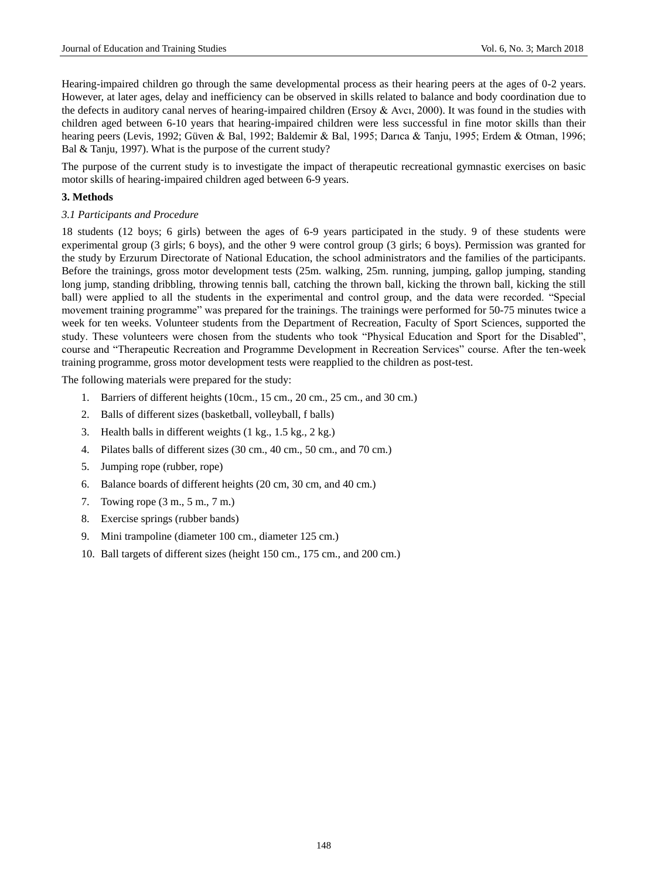Hearing-impaired children go through the same developmental process as their hearing peers at the ages of 0-2 years. However, at later ages, delay and inefficiency can be observed in skills related to balance and body coordination due to the defects in auditory canal nerves of hearing-impaired children (Ersoy  $\&$  Avcı, 2000). It was found in the studies with children aged between 6-10 years that hearing-impaired children were less successful in fine motor skills than their hearing peers (Levis, 1992; Güven & Bal, 1992; Baldemir & Bal, 1995; Darıca & Tanju, 1995; Erdem & Otman, 1996; Bal & Tanju, 1997). What is the purpose of the current study?

The purpose of the current study is to investigate the impact of therapeutic recreational gymnastic exercises on basic motor skills of hearing-impaired children aged between 6-9 years.

### **3. Methods**

#### *3.1 Participants and Procedure*

18 students (12 boys; 6 girls) between the ages of 6-9 years participated in the study. 9 of these students were experimental group (3 girls; 6 boys), and the other 9 were control group (3 girls; 6 boys). Permission was granted for the study by Erzurum Directorate of National Education, the school administrators and the families of the participants. Before the trainings, gross motor development tests (25m. walking, 25m. running, jumping, gallop jumping, standing long jump, standing dribbling, throwing tennis ball, catching the thrown ball, kicking the thrown ball, kicking the still ball) were applied to all the students in the experimental and control group, and the data were recorded. "Special movement training programme" was prepared for the trainings. The trainings were performed for 50-75 minutes twice a week for ten weeks. Volunteer students from the Department of Recreation, Faculty of Sport Sciences, supported the study. These volunteers were chosen from the students who took "Physical Education and Sport for the Disabled", course and "Therapeutic Recreation and Programme Development in Recreation Services" course. After the ten-week training programme, gross motor development tests were reapplied to the children as post-test.

The following materials were prepared for the study:

- 1. Barriers of different heights (10cm., 15 cm., 20 cm., 25 cm., and 30 cm.)
- 2. Balls of different sizes (basketball, volleyball, f balls)
- 3. Health balls in different weights (1 kg., 1.5 kg., 2 kg.)
- 4. Pilates balls of different sizes (30 cm., 40 cm., 50 cm., and 70 cm.)
- 5. Jumping rope (rubber, rope)
- 6. Balance boards of different heights (20 cm, 30 cm, and 40 cm.)
- 7. Towing rope (3 m., 5 m., 7 m.)
- 8. Exercise springs (rubber bands)
- 9. Mini trampoline (diameter 100 cm., diameter 125 cm.)
- 10. Ball targets of different sizes (height 150 cm., 175 cm., and 200 cm.)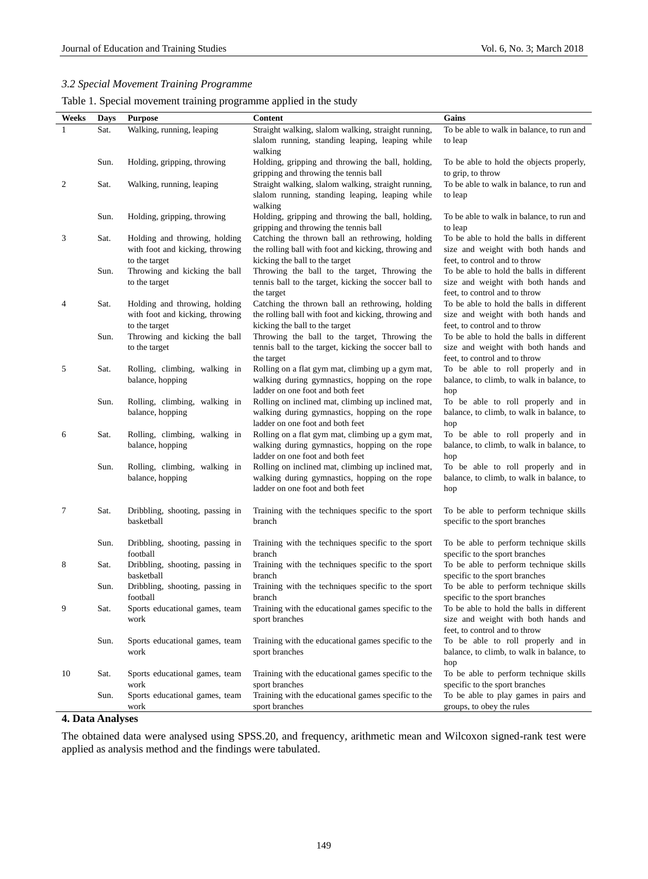# *3.2 Special Movement Training Programme*

| Table 1. Special movement training programme applied in the study |  |
|-------------------------------------------------------------------|--|
|                                                                   |  |
|                                                                   |  |
|                                                                   |  |

|       |      |                                               |                                                                                                        | Gains                                                                    |
|-------|------|-----------------------------------------------|--------------------------------------------------------------------------------------------------------|--------------------------------------------------------------------------|
| Weeks | Days | <b>Purpose</b>                                | Content                                                                                                |                                                                          |
|       | Sat. | Walking, running, leaping                     | Straight walking, slalom walking, straight running,<br>slalom running, standing leaping, leaping while | To be able to walk in balance, to run and                                |
|       |      |                                               | walking                                                                                                | to leap                                                                  |
|       | Sun. | Holding, gripping, throwing                   | Holding, gripping and throwing the ball, holding,                                                      | To be able to hold the objects properly,                                 |
|       |      |                                               | gripping and throwing the tennis ball                                                                  | to grip, to throw                                                        |
| 2     | Sat. | Walking, running, leaping                     | Straight walking, slalom walking, straight running,                                                    | To be able to walk in balance, to run and                                |
|       |      |                                               | slalom running, standing leaping, leaping while                                                        | to leap                                                                  |
|       |      |                                               | walking                                                                                                |                                                                          |
|       | Sun. | Holding, gripping, throwing                   | Holding, gripping and throwing the ball, holding,                                                      | To be able to walk in balance, to run and                                |
|       |      |                                               | gripping and throwing the tennis ball                                                                  | to leap                                                                  |
| 3     | Sat. | Holding and throwing, holding                 | Catching the thrown ball an rethrowing, holding                                                        | To be able to hold the balls in different                                |
|       |      | with foot and kicking, throwing               | the rolling ball with foot and kicking, throwing and                                                   | size and weight with both hands and                                      |
|       |      | to the target                                 | kicking the ball to the target                                                                         | feet, to control and to throw                                            |
|       | Sun. | Throwing and kicking the ball                 | Throwing the ball to the target, Throwing the                                                          | To be able to hold the balls in different                                |
|       |      | to the target                                 | tennis ball to the target, kicking the soccer ball to                                                  | size and weight with both hands and                                      |
|       |      |                                               | the target                                                                                             | feet, to control and to throw                                            |
| 4     | Sat. | Holding and throwing, holding                 | Catching the thrown ball an rethrowing, holding                                                        | To be able to hold the balls in different                                |
|       |      | with foot and kicking, throwing               | the rolling ball with foot and kicking, throwing and                                                   | size and weight with both hands and                                      |
|       |      | to the target                                 | kicking the ball to the target                                                                         | feet, to control and to throw                                            |
|       | Sun. | Throwing and kicking the ball                 | Throwing the ball to the target, Throwing the                                                          | To be able to hold the balls in different                                |
|       |      | to the target                                 | tennis ball to the target, kicking the soccer ball to<br>the target                                    | size and weight with both hands and<br>feet, to control and to throw     |
| 5     | Sat. | Rolling, climbing, walking in                 | Rolling on a flat gym mat, climbing up a gym mat,                                                      | To be able to roll properly and in                                       |
|       |      | balance, hopping                              | walking during gymnastics, hopping on the rope                                                         | balance, to climb, to walk in balance, to                                |
|       |      |                                               | ladder on one foot and both feet                                                                       | hop                                                                      |
|       | Sun. | Rolling, climbing, walking in                 | Rolling on inclined mat, climbing up inclined mat,                                                     | To be able to roll properly and in                                       |
|       |      | balance, hopping                              | walking during gymnastics, hopping on the rope                                                         | balance, to climb, to walk in balance, to                                |
|       |      |                                               | ladder on one foot and both feet                                                                       | hop                                                                      |
| 6     | Sat. | Rolling, climbing, walking in                 | Rolling on a flat gym mat, climbing up a gym mat,                                                      | To be able to roll properly and in                                       |
|       |      | balance, hopping                              | walking during gymnastics, hopping on the rope                                                         | balance, to climb, to walk in balance, to                                |
|       |      |                                               | ladder on one foot and both feet                                                                       | hop                                                                      |
|       | Sun. | Rolling, climbing, walking in                 | Rolling on inclined mat, climbing up inclined mat,                                                     | To be able to roll properly and in                                       |
|       |      | balance, hopping                              | walking during gymnastics, hopping on the rope                                                         | balance, to climb, to walk in balance, to                                |
|       |      |                                               | ladder on one foot and both feet                                                                       | hop                                                                      |
|       |      |                                               |                                                                                                        |                                                                          |
| 7     | Sat. | Dribbling, shooting, passing in<br>basketball | Training with the techniques specific to the sport<br>branch                                           | To be able to perform technique skills<br>specific to the sport branches |
|       |      |                                               |                                                                                                        |                                                                          |
|       | Sun. | Dribbling, shooting, passing in               | Training with the techniques specific to the sport                                                     | To be able to perform technique skills                                   |
|       |      | football                                      | branch                                                                                                 | specific to the sport branches                                           |
| 8     | Sat. | Dribbling, shooting, passing in               | Training with the techniques specific to the sport                                                     | To be able to perform technique skills                                   |
|       |      | basketball                                    | branch                                                                                                 | specific to the sport branches                                           |
|       | Sun. | Dribbling, shooting, passing in               | Training with the techniques specific to the sport                                                     | To be able to perform technique skills                                   |
|       |      | football                                      | branch                                                                                                 | specific to the sport branches                                           |
| 9     | Sat. | Sports educational games, team                | Training with the educational games specific to the                                                    | To be able to hold the balls in different                                |
|       |      | work                                          | sport branches                                                                                         | size and weight with both hands and                                      |
|       |      |                                               |                                                                                                        | feet, to control and to throw                                            |
|       | Sun. | Sports educational games, team                | Training with the educational games specific to the                                                    | To be able to roll properly and in                                       |
|       |      | work                                          | sport branches                                                                                         | balance, to climb, to walk in balance, to                                |
|       |      |                                               |                                                                                                        | hop                                                                      |
| 10    | Sat. | Sports educational games, team                | Training with the educational games specific to the                                                    | To be able to perform technique skills                                   |
|       |      | work                                          | sport branches                                                                                         | specific to the sport branches                                           |
|       | Sun. | Sports educational games, team                | Training with the educational games specific to the                                                    | To be able to play games in pairs and<br>groups, to obey the rules       |
|       |      | work                                          | sport branches                                                                                         |                                                                          |

# **4. Data Analyses**

The obtained data were analysed using SPSS.20, and frequency, arithmetic mean and Wilcoxon signed-rank test were applied as analysis method and the findings were tabulated.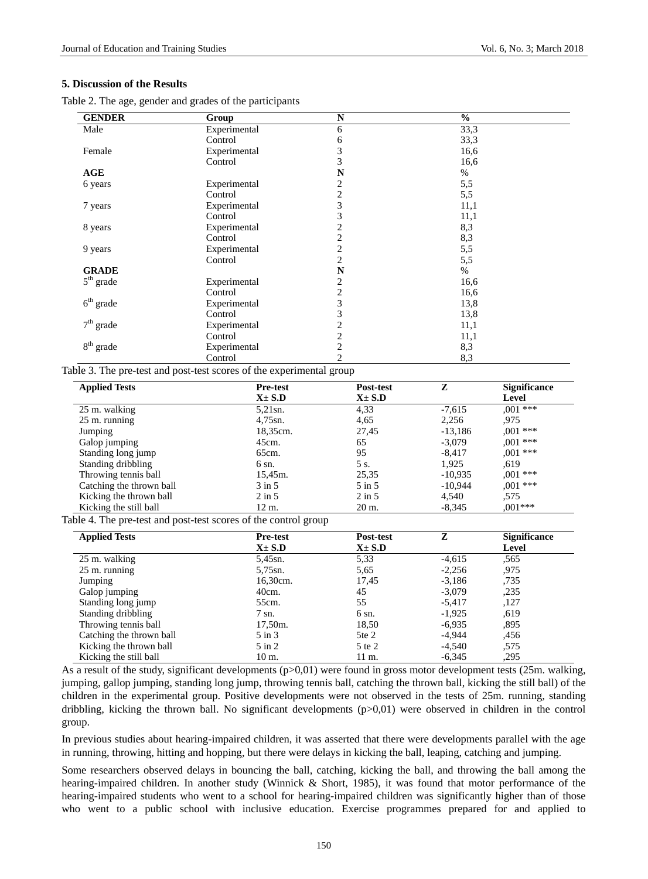#### **5. Discussion of the Results**

Table 2. The age, gender and grades of the participants

| <b>GENDER</b> | Group        | N                       | $\frac{6}{9}$ |  |
|---------------|--------------|-------------------------|---------------|--|
| Male          | Experimental | 6                       | 33,3          |  |
|               | Control      | 6                       | 33,3          |  |
| Female        | Experimental | 3                       | 16,6          |  |
|               | Control      | 3                       | 16,6          |  |
| AGE           |              | N                       | $\%$          |  |
| 6 years       | Experimental | 2                       | 5,5           |  |
|               | Control      | $\overline{c}$          | 5,5           |  |
| 7 years       | Experimental | 3                       | 11,1          |  |
|               | Control      | 3                       | 11,1          |  |
| 8 years       | Experimental | $\overline{c}$          | 8,3           |  |
|               | Control      | $\overline{c}$          | 8,3           |  |
| 9 years       | Experimental | $\sqrt{2}$              | 5,5           |  |
|               | Control      | $\overline{c}$          | 5,5           |  |
| <b>GRADE</b>  |              | N                       | $\%$          |  |
| $5th$ grade   | Experimental | $\overline{c}$          | 16,6          |  |
|               | Control      | $\overline{c}$          | 16,6          |  |
| $6th$ grade   | Experimental | 3                       | 13,8          |  |
|               | Control      | 3                       | 13,8          |  |
| $7th$ grade   | Experimental | 2                       | 11,1          |  |
|               | Control      | $\mathbf{2}$            | 11,1          |  |
| $8th$ grade   | Experimental | $\overline{\mathbf{c}}$ | 8,3           |  |
|               | Control      | $\overline{c}$          | 8,3           |  |

Table 3. The pre-test and post-test scores of the experimental group

| <b>Applied Tests</b>     | <b>Pre-test</b>   | Post-test         | Z         | <b>Significance</b> |
|--------------------------|-------------------|-------------------|-----------|---------------------|
|                          | $X \pm S.D$       | $X \pm S.D$       |           | Level               |
| 25 m. walking            | $5,21$ sn.        | 4,33              | $-7,615$  | $.001***$           |
| $25 \text{ m}$ . running | $4,75$ sn.        | 4,65              | 2,256     | .975                |
| Jumping                  | 18,35cm.          | 27,45             | $-13,186$ | $0.001$ ***         |
| Galop jumping            | 45cm.             | 65                | $-3,079$  | $.001***$           |
| Standing long jump       | 65cm.             | 95                | $-8,417$  | $0.001$ ***         |
| Standing dribbling       | 6 sn.             | 5 s.              | 1.925     | .619                |
| Throwing tennis ball     | 15,45m.           | 25,35             | $-10.935$ | $0.001$ ***         |
| Catching the thrown ball | $3 \text{ in } 5$ | $5 \text{ in } 5$ | $-10.944$ | $0.001$ ***         |
| Kicking the thrown ball  | $2 \text{ in } 5$ | $2 \text{ in } 5$ | 4,540     | .575                |
| Kicking the still ball   | 12 m.             | 20 m.             | $-8.345$  | $.001***$           |

Table 4. The pre-test and post-test scores of the control group

| <b>Applied Tests</b>     | <b>Pre-test</b>   | Post-test   | z        | <b>Significance</b> |
|--------------------------|-------------------|-------------|----------|---------------------|
|                          | $X \pm S.D$       | $X \pm S.D$ |          | Level               |
| 25 m. walking            | 5,45sn.           | 5.33        | $-4,615$ | .565                |
| $25 \text{ m}$ . running | 5,75sn.           | 5,65        | $-2,256$ | .975                |
| Jumping                  | 16,30cm.          | 17,45       | $-3,186$ | .735                |
| Galop jumping            | 40cm.             | 45          | $-3.079$ | ,235                |
| Standing long jump       | 55cm.             | 55          | $-5.417$ | ,127                |
| Standing dribbling       | 7 sn.             | 6 sn.       | $-1,925$ | ,619                |
| Throwing tennis ball     | 17,50m.           | 18,50       | $-6.935$ | .895                |
| Catching the thrown ball | $5 \text{ in } 3$ | 5te 2       | -4.944   | .456                |
| Kicking the thrown ball  | $5 \text{ in } 2$ | 5 te 2      | -4.540   | .575                |
| Kicking the still ball   | $10 \text{ m}$ .  | 11 m.       | $-6.345$ | ,295                |

As a result of the study, significant developments (p>0,01) were found in gross motor development tests (25m. walking, jumping, gallop jumping, standing long jump, throwing tennis ball, catching the thrown ball, kicking the still ball) of the children in the experimental group. Positive developments were not observed in the tests of 25m. running, standing dribbling, kicking the thrown ball. No significant developments (p>0,01) were observed in children in the control group.

In previous studies about hearing-impaired children, it was asserted that there were developments parallel with the age in running, throwing, hitting and hopping, but there were delays in kicking the ball, leaping, catching and jumping.

Some researchers observed delays in bouncing the ball, catching, kicking the ball, and throwing the ball among the hearing-impaired children. In another study (Winnick & Short, 1985), it was found that motor performance of the hearing-impaired students who went to a school for hearing-impaired children was significantly higher than of those who went to a public school with inclusive education. Exercise programmes prepared for and applied to